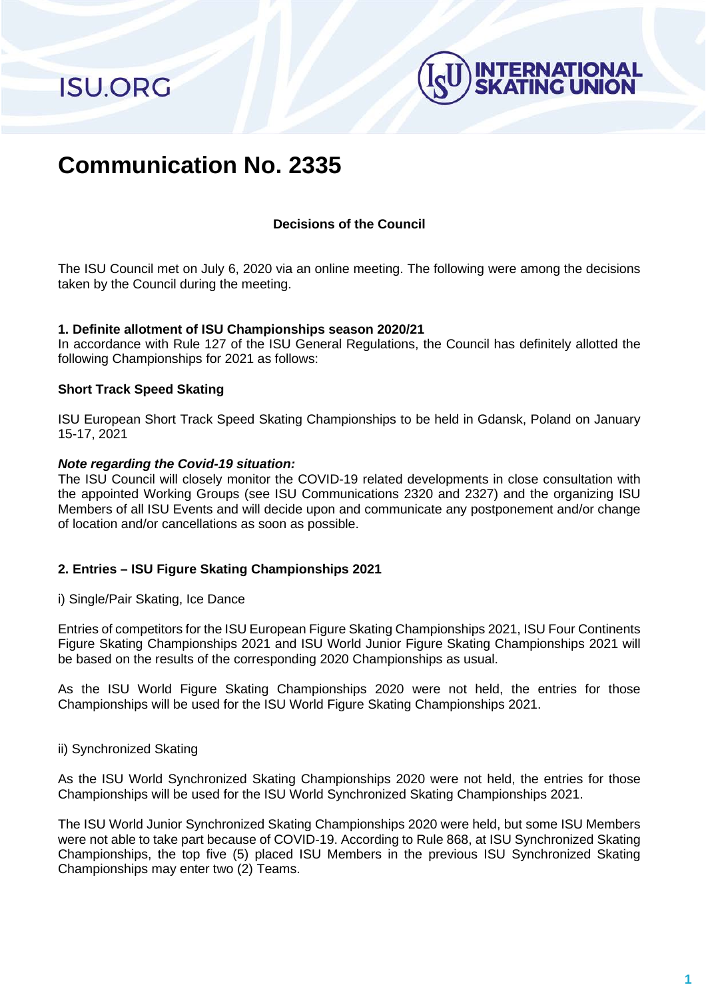**ISU.ORG** 



# **Communication No. 2335**

## **Decisions of the Council**

The ISU Council met on July 6, 2020 via an online meeting. The following were among the decisions taken by the Council during the meeting.

#### **1. Definite allotment of ISU Championships season 2020/21**

In accordance with Rule 127 of the ISU General Regulations, the Council has definitely allotted the following Championships for 2021 as follows:

### **Short Track Speed Skating**

ISU European Short Track Speed Skating Championships to be held in Gdansk, Poland on January 15-17, 2021

### *Note regarding the Covid-19 situation:*

The ISU Council will closely monitor the COVID-19 related developments in close consultation with the appointed Working Groups (see ISU Communications 2320 and 2327) and the organizing ISU Members of all ISU Events and will decide upon and communicate any postponement and/or change of location and/or cancellations as soon as possible.

## **2. Entries – ISU Figure Skating Championships 2021**

i) Single/Pair Skating, Ice Dance

Entries of competitors for the ISU European Figure Skating Championships 2021, ISU Four Continents Figure Skating Championships 2021 and ISU World Junior Figure Skating Championships 2021 will be based on the results of the corresponding 2020 Championships as usual.

As the ISU World Figure Skating Championships 2020 were not held, the entries for those Championships will be used for the ISU World Figure Skating Championships 2021.

#### ii) Synchronized Skating

As the ISU World Synchronized Skating Championships 2020 were not held, the entries for those Championships will be used for the ISU World Synchronized Skating Championships 2021.

The ISU World Junior Synchronized Skating Championships 2020 were held, but some ISU Members were not able to take part because of COVID-19. According to Rule 868, at ISU Synchronized Skating Championships, the top five (5) placed ISU Members in the previous ISU Synchronized Skating Championships may enter two (2) Teams.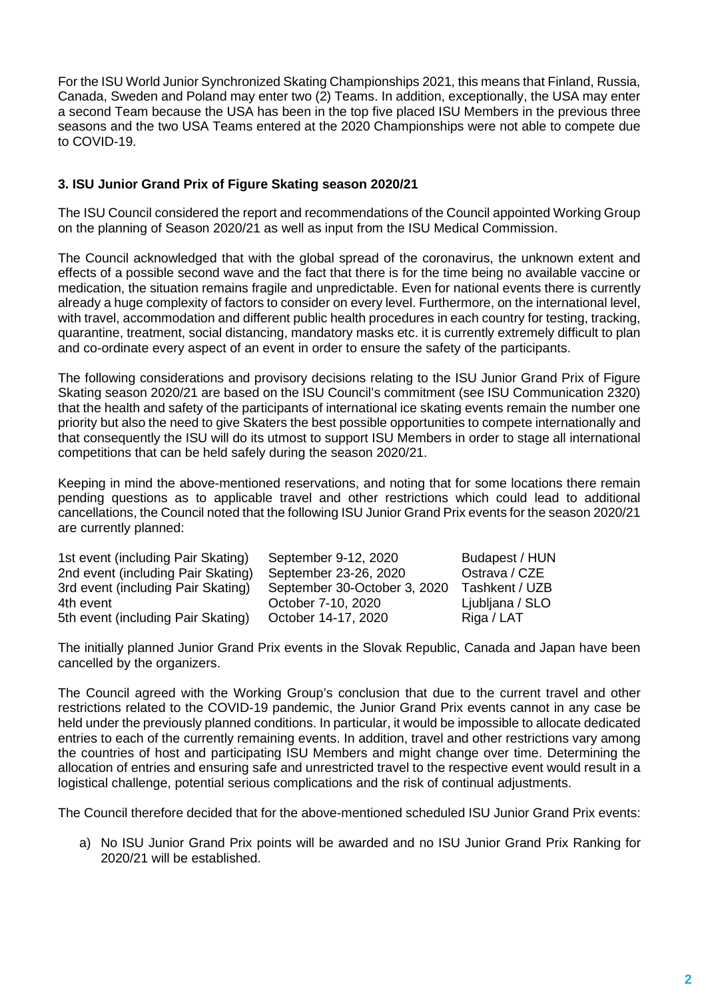For the ISU World Junior Synchronized Skating Championships 2021, this means that Finland, Russia, Canada, Sweden and Poland may enter two (2) Teams. In addition, exceptionally, the USA may enter a second Team because the USA has been in the top five placed ISU Members in the previous three seasons and the two USA Teams entered at the 2020 Championships were not able to compete due to COVID-19.

# **3. ISU Junior Grand Prix of Figure Skating season 2020/21**

The ISU Council considered the report and recommendations of the Council appointed Working Group on the planning of Season 2020/21 as well as input from the ISU Medical Commission.

The Council acknowledged that with the global spread of the coronavirus, the unknown extent and effects of a possible second wave and the fact that there is for the time being no available vaccine or medication, the situation remains fragile and unpredictable. Even for national events there is currently already a huge complexity of factors to consider on every level. Furthermore, on the international level, with travel, accommodation and different public health procedures in each country for testing, tracking, quarantine, treatment, social distancing, mandatory masks etc. it is currently extremely difficult to plan and co-ordinate every aspect of an event in order to ensure the safety of the participants.

The following considerations and provisory decisions relating to the ISU Junior Grand Prix of Figure Skating season 2020/21 are based on the ISU Council's commitment (see ISU Communication 2320) that the health and safety of the participants of international ice skating events remain the number one priority but also the need to give Skaters the best possible opportunities to compete internationally and that consequently the ISU will do its utmost to support ISU Members in order to stage all international competitions that can be held safely during the season 2020/21.

Keeping in mind the above-mentioned reservations, and noting that for some locations there remain pending questions as to applicable travel and other restrictions which could lead to additional cancellations, the Council noted that the following ISU Junior Grand Prix events for the season 2020/21 are currently planned:

| 1st event (including Pair Skating) | September 9-12, 2020         | Budapest / HUN  |
|------------------------------------|------------------------------|-----------------|
| 2nd event (including Pair Skating) | September 23-26, 2020        | Ostrava / CZE   |
| 3rd event (including Pair Skating) | September 30-October 3, 2020 | Tashkent / UZB  |
| 4th event                          | October 7-10, 2020           | Ljubljana / SLO |
| 5th event (including Pair Skating) | October 14-17, 2020          | Riga / LAT      |

The initially planned Junior Grand Prix events in the Slovak Republic, Canada and Japan have been cancelled by the organizers.

The Council agreed with the Working Group's conclusion that due to the current travel and other restrictions related to the COVID-19 pandemic, the Junior Grand Prix events cannot in any case be held under the previously planned conditions. In particular, it would be impossible to allocate dedicated entries to each of the currently remaining events. In addition, travel and other restrictions vary among the countries of host and participating ISU Members and might change over time. Determining the allocation of entries and ensuring safe and unrestricted travel to the respective event would result in a logistical challenge, potential serious complications and the risk of continual adjustments.

The Council therefore decided that for the above-mentioned scheduled ISU Junior Grand Prix events:

a) No ISU Junior Grand Prix points will be awarded and no ISU Junior Grand Prix Ranking for 2020/21 will be established.